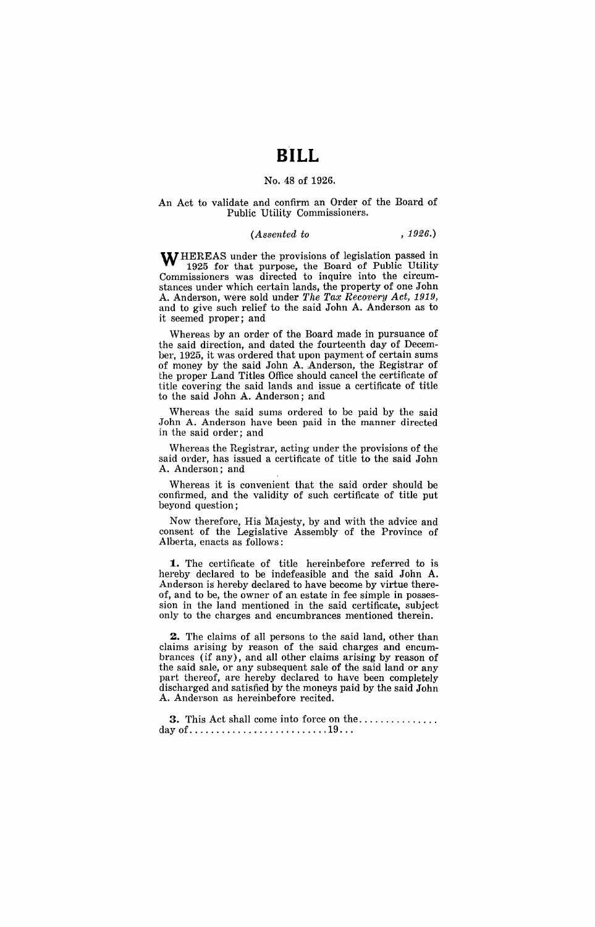# **BILL**

#### No. 48 of 1926.

### An Act to validate and confirm an Order of the Board of Public Utility Commissioners.

## *(Assented to* , 1926.)

**WHEREAS** under the provisions of legislation passed in 1925 for that purpose, the Board of Public Utility Commissioners was directed to inquire into the circumstances under which certain lands, the property of one John A. Anderson, were sold under *The Tax Recovery Act, 1919,*  and to give such relief to the said John A. Anderson as to it seemed proper; and

Whereas by an order of the Board made in pursuance of the said direction, and dated the fourteenth day of December, 1925, it was ordered that upon payment of certain sums of money by the said John A. Anderson, the Registrar of the proper Land Titles Office should cancel the certificate of title covering the said lands and issue a certificate of title to the said John A. Anderson; and

Whereas the said sums ordered to be paid by the said John A. Anderson have been paid in the manner directed in the said order; and

Whereas the Registrar, acting under the provisions of the said order, has issued a certificate of title to the said John A. Anderson; and

Whereas it is convenient that the said order should be confirmed, and the validity of such certificate of title put beyond question;

Now therefore, His Majesty, by and with the advice and consent of the Legislative Assembly of the Province of Alberta, enacts as follows:

**1.** The certificate of title hereinbefore referred to is hereby declared to be indefeasible and the said John A. Anderson is hereby declared to have become by virtue thereof, and to be, the owner of an estate in fee simple in possession in the land mentioned in the said certificate, subject only to the charges and encumbrances mentioned therein.

**2.** The claims of all persons to the said land, other than claims arising by reason of the said charges and encumbrances (if any), and all other claims arising by reason of the said sale, or any subsequent sale of the said land or any part thereof, are hereby declared to have been completely discharged and satisfied by the moneys paid by the said John A. Anderson as hereinbefore recited.

**3.** This Act shall come into force on the ............... day of  $\dots \dots \dots \dots \dots \dots \dots \dots \dots \dots \dots \dots \dots \dots \dots \dots$